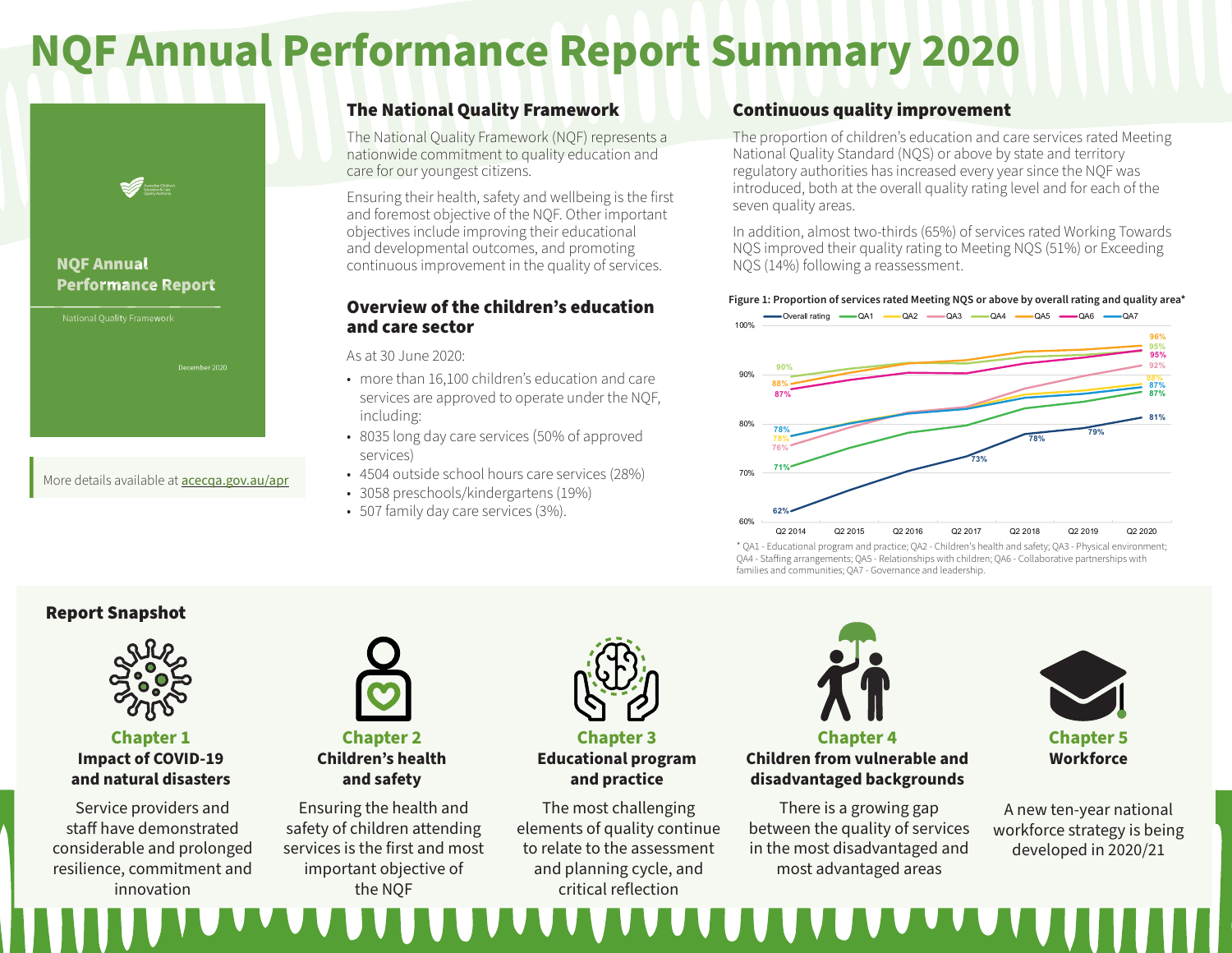# **NQF Annual Performance Report Summary 2020**



#### **NQF Annual Performance Report**

More details available at **acecga.gov.au/apr** 

### The National Quality Framework

The National Quality Framework (NQF) represents a nationwide commitment to quality education and care for our youngest citizens.

Ensuring their health, safety and wellbeing is the first and foremost objective of the NQF. Other important objectives include improving their educational and developmental outcomes, and promoting continuous improvement in the quality of services.

#### Overview of the children's education and care sector

As at 30 June 2020:

- more than 16,100 children's education and care services are approved to operate under the NQF, including:
- 8035 long day care services (50% of approved services)
- 4504 outside school hours care services (28%)
- 3058 preschools/kindergartens (19%)
- 507 family day care services (3%).

#### Continuous quality improvement

The proportion of children's education and care services rated Meeting National Quality Standard (NQS) or above by state and territory regulatory authorities has increased every year since the NQF was introduced, both at the overall quality rating level and for each of the seven quality areas.

In addition, almost two-thirds (65%) of services rated Working Towards NQS improved their quality rating to Meeting NQS (51%) or Exceeding NQS (14%) following a reassessment.

#### **Figure 1: Proportion of services rated Meeting NQS or above by overall rating and quality area\***



\* QA1 - Educational program and practice; QA2 - Children's health and safety; QA3 - Physical environment; QA4 - Staffing arrangements; QA5 - Relationships with children; QA6 - Collaborative partnerships with families and communities; QA7 - Governance and leadership.

#### Report Snapshot



### **Chapter 1 Impact of COVID-19 and natural disasters**

Service providers and staff have demonstrated considerable and prolonged resilience, commitment and innovation



**Chapter 2 Children's health and safety**

Ensuring the health and safety of children attending services is the first and most important objective of the NQF



**Chapter 3 Educational program and practice** 

The most challenging elements of quality continue to relate to the assessment and planning cycle, and critical reflection



## **Children from vulnerable and disadvantaged backgrounds**

There is a growing gap between the quality of services in the most disadvantaged and most advantaged areas



**Workforce**

A new ten-year national workforce strategy is being developed in 2020/21